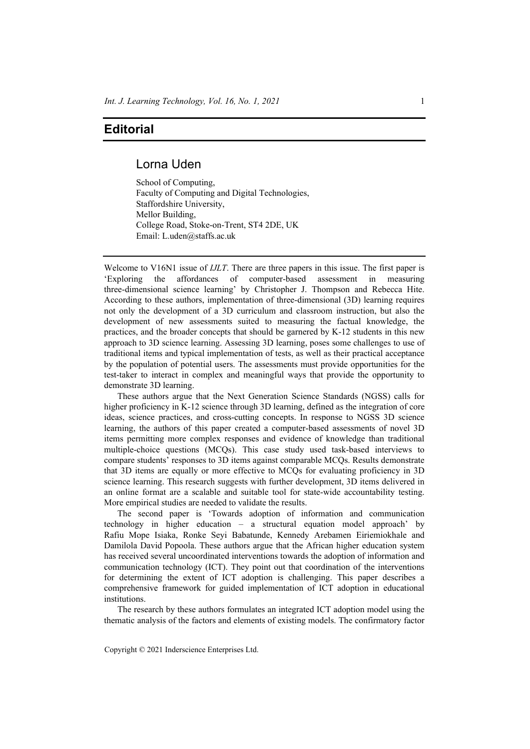## **Editorial**

## Lorna Uden

School of Computing, Faculty of Computing and Digital Technologies, Staffordshire University, Mellor Building, College Road, Stoke-on-Trent, ST4 2DE, UK Email: L.uden@staffs.ac.uk

Welcome to V16N1 issue of *IJLT*. There are three papers in this issue. The first paper is 'Exploring the affordances of computer-based assessment in measuring three-dimensional science learning' by Christopher J. Thompson and Rebecca Hite. According to these authors, implementation of three-dimensional (3D) learning requires not only the development of a 3D curriculum and classroom instruction, but also the development of new assessments suited to measuring the factual knowledge, the practices, and the broader concepts that should be garnered by K-12 students in this new approach to 3D science learning. Assessing 3D learning, poses some challenges to use of traditional items and typical implementation of tests, as well as their practical acceptance by the population of potential users. The assessments must provide opportunities for the test-taker to interact in complex and meaningful ways that provide the opportunity to demonstrate 3D learning.

These authors argue that the Next Generation Science Standards (NGSS) calls for higher proficiency in K-12 science through 3D learning, defined as the integration of core ideas, science practices, and cross-cutting concepts. In response to NGSS 3D science learning, the authors of this paper created a computer-based assessments of novel 3D items permitting more complex responses and evidence of knowledge than traditional multiple-choice questions (MCQs). This case study used task-based interviews to compare students' responses to 3D items against comparable MCQs. Results demonstrate that 3D items are equally or more effective to MCQs for evaluating proficiency in 3D science learning. This research suggests with further development, 3D items delivered in an online format are a scalable and suitable tool for state-wide accountability testing. More empirical studies are needed to validate the results.

The second paper is 'Towards adoption of information and communication technology in higher education – a structural equation model approach' by Rafiu Mope Isiaka, Ronke Seyi Babatunde, Kennedy Arebamen Eiriemiokhale and Damilola David Popoola. These authors argue that the African higher education system has received several uncoordinated interventions towards the adoption of information and communication technology (ICT). They point out that coordination of the interventions for determining the extent of ICT adoption is challenging. This paper describes a comprehensive framework for guided implementation of ICT adoption in educational institutions.

The research by these authors formulates an integrated ICT adoption model using the thematic analysis of the factors and elements of existing models. The confirmatory factor